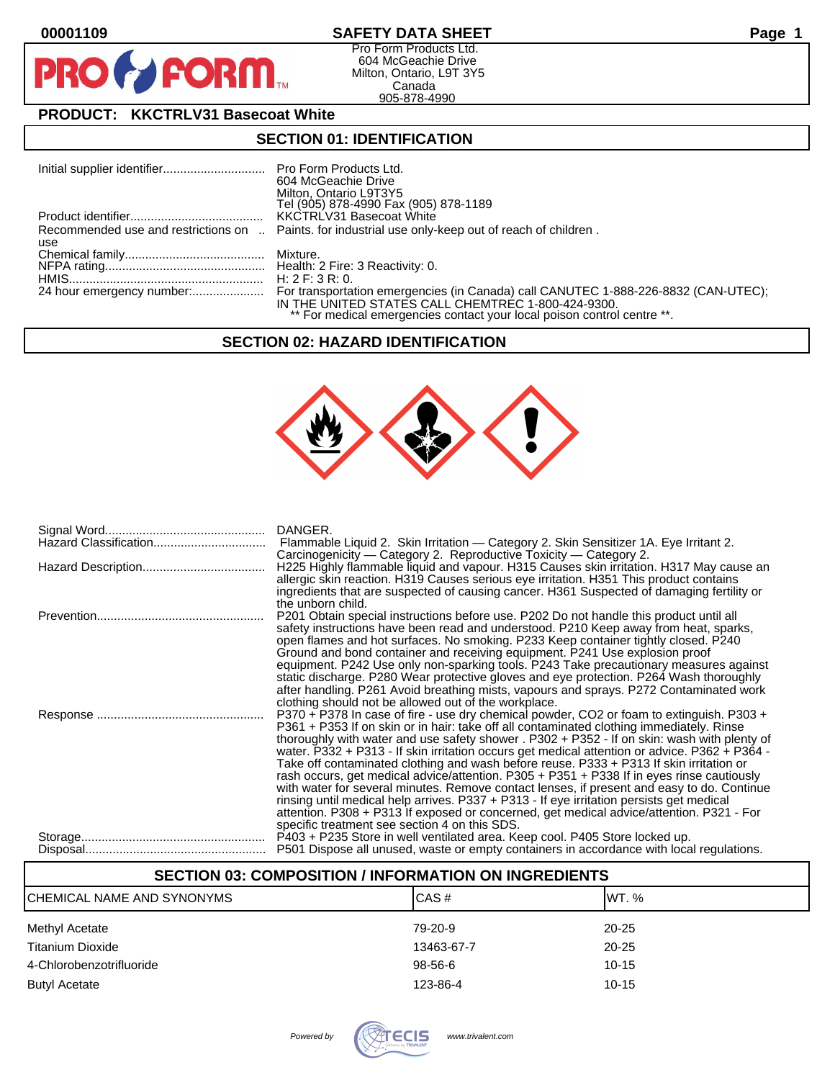$\mathbf O$ 

PR



Pro Form Products Ltd. 604 McGeachie Drive Milton, Ontario, L9T 3Y5 Canada 905-878-4990

# **PRODUCT: KKCTRLV31 Basecoat White**

**FORM.** 

#### **SECTION 01: IDENTIFICATION**

|     | 604 McGeachie Drive<br>Milton, Ontario L9T3Y5<br>Tel (905) 878-4990 Fax (905) 878-1189                                        |
|-----|-------------------------------------------------------------------------------------------------------------------------------|
|     | KKCTRLV31 Basecoat White                                                                                                      |
| use | Recommended use and restrictions on  Paints. for industrial use only-keep out of reach of children.                           |
|     |                                                                                                                               |
|     | H: 2 F: 3 R: 0.                                                                                                               |
|     | IN THE UNITED STATES CALL CHEMTREC 1-800-424-9300.<br>** For medical emergencies contact your local poison control centre **. |

#### **SECTION 02: HAZARD IDENTIFICATION**



| DANGER.<br>Flammable Liquid 2. Skin Irritation — Category 2. Skin Sensitizer 1A. Eye Irritant 2.                                                                                                                                                                                                                                                                                                                                                                                |
|---------------------------------------------------------------------------------------------------------------------------------------------------------------------------------------------------------------------------------------------------------------------------------------------------------------------------------------------------------------------------------------------------------------------------------------------------------------------------------|
| Carcinogenicity — Category 2. Reproductive Toxicity — Category 2.<br>H225 Highly flammable liquid and vapour. H315 Causes skin irritation. H317 May cause an<br>allergic skin reaction. H319 Causes serious eye irritation. H351 This product contains<br>ingredients that are suspected of causing cancer. H361 Suspected of damaging fertility or                                                                                                                             |
| the unborn child.<br>P201 Obtain special instructions before use. P202 Do not handle this product until all<br>safety instructions have been read and understood. P210 Keep away from heat, sparks,<br>open flames and hot surfaces. No smoking. P233 Keep container tightly closed. P240                                                                                                                                                                                       |
| Ground and bond container and receiving equipment. P241 Use explosion proof<br>equipment. P242 Use only non-sparking tools. P243 Take precautionary measures against<br>static discharge. P280 Wear protective gloves and eye protection. P264 Wash thoroughly<br>after handling. P261 Avoid breathing mists, vapours and sprays. P272 Contaminated work<br>clothing should not be allowed out of the workplace.                                                                |
| P370 + P378 In case of fire - use dry chemical powder, CO2 or foam to extinguish. P303 +<br>P361 + P353 If on skin or in hair: take off all contaminated clothing immediately. Rinse<br>thoroughly with water and use safety shower . P302 + P352 - If on skin: wash with plenty of<br>water. P332 + P313 - If skin irritation occurs get medical attention or advice. P362 + P364 -<br>Take off contaminated clothing and wash before reuse. P333 + P313 If skin irritation or |
| rash occurs, get medical advice/attention. P305 + P351 + P338 If in eyes rinse cautiously<br>with water for several minutes. Remove contact lenses, if present and easy to do. Continue<br>rinsing until medical help arrives. P337 + P313 - If eye irritation persists get medical<br>attention. P308 + P313 If exposed or concerned, get medical advice/attention. P321 - For<br>specific treatment see section 4 on this SDS.                                                |
| P403 + P235 Store in well ventilated area. Keep cool. P405 Store locked up.<br>P501 Dispose all unused, waste or empty containers in accordance with local regulations.                                                                                                                                                                                                                                                                                                         |

# **SECTION 03: COMPOSITION / INFORMATION ON INGREDIENTS** CHEMICAL NAME AND SYNONYMS CAS # CAS # WT. % Methyl Acetate 20-25 Titanium Dioxide 13463-67-7 20-25 4-Chlorobenzotrifluoride 98-56-6 10-15 Butyl Acetate 123-86-4 123-86-4 123-86-4 123-86-4 123-86-4 123-86-4 10-15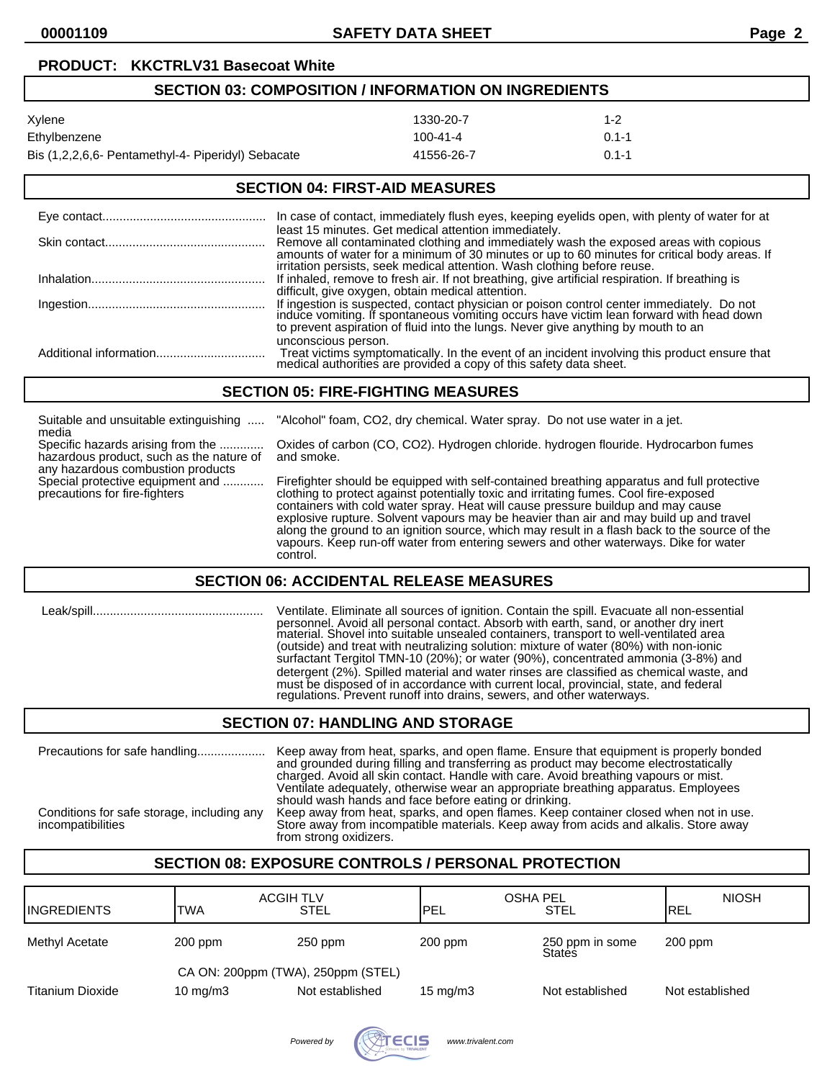# **SECTION 03: COMPOSITION / INFORMATION ON INGREDIENTS** Xylene 1330-20-7 1-2 Ethylbenzene 100-41-4 0.1-1 Bis (1,2,2,6,6- Pentamethyl-4- Piperidyl) Sebacate 41556-26-7 0.1-1

# **SECTION 04: FIRST-AID MEASURES**

| In case of contact, immediately flush eyes, keeping eyelids open, with plenty of water for at                                                                                                                                                                                                                               |
|-----------------------------------------------------------------------------------------------------------------------------------------------------------------------------------------------------------------------------------------------------------------------------------------------------------------------------|
| least 15 minutes. Get medical attention immediately.<br>Remove all contaminated clothing and immediately wash the exposed areas with copious<br>amounts of water for a minimum of 30 minutes or up to 60 minutes for critical body areas. If<br>irritation persists, seek medical attention. Wash clothing before reuse.    |
| If inhaled, remove to fresh air. If not breathing, give artificial respiration. If breathing is                                                                                                                                                                                                                             |
| difficult, give oxygen, obtain medical attention.<br>If ingestion is suspected, contact physician or poison control center immediately. Do not induce vomiting. If spontaneous vomiting occurs have victim lean forward with head down<br>to prevent aspiration of fluid into the lungs. Never give anything by mouth to an |
| unconscious person.<br>Treat victims symptomatically. In the event of an incident involving this product ensure that medical authorities are provided a copy of this safety data sheet.                                                                                                                                     |

#### **SECTION 05: FIRE-FIGHTING MEASURES**

| Suitable and unsuitable extinguishing<br>media                                                                                                                                          | "Alcohol" foam, CO2, dry chemical. Water spray. Do not use water in a jet.                                                                                                                                                                                                                                                                                                                                                                                                                                                                                             |
|-----------------------------------------------------------------------------------------------------------------------------------------------------------------------------------------|------------------------------------------------------------------------------------------------------------------------------------------------------------------------------------------------------------------------------------------------------------------------------------------------------------------------------------------------------------------------------------------------------------------------------------------------------------------------------------------------------------------------------------------------------------------------|
| Specific hazards arising from the<br>hazardous product, such as the nature of<br>any hazardous combustion products<br>Special protective equipment and<br>precautions for fire-fighters | Oxides of carbon (CO, CO2). Hydrogen chloride. hydrogen flouride. Hydrocarbon fumes<br>and smoke.                                                                                                                                                                                                                                                                                                                                                                                                                                                                      |
|                                                                                                                                                                                         | Firefighter should be equipped with self-contained breathing apparatus and full protective<br>clothing to protect against potentially toxic and irritating fumes. Cool fire-exposed<br>containers with cold water spray. Heat will cause pressure buildup and may cause<br>explosive rupture. Solvent vapours may be heavier than air and may build up and travel<br>along the ground to an ignition source, which may result in a flash back to the source of the<br>vapours. Keep run-off water from entering sewers and other waterways. Dike for water<br>control. |

#### **SECTION 06: ACCIDENTAL RELEASE MEASURES**

| Leak/spill. | Ventilate. Eliminate all sources of ignition. Contain the spill. Evacuate all non-essential<br>personnel. Avoid all personal contact. Absorb with earth, sand, or another dry inert<br>material. Shovel into suitable unsealed containers, transport to well-ventilated area<br>(outside) and treat with neutralizing solution: mixture of water (80%) with non-ionic<br>surfactant Tergitol TMN-10 (20%); or water (90%), concentrated ammonia (3-8%) and<br>detergent (2%). Spilled material and water rinses are classified as chemical waste, and<br>must be disposed of in accordance with current local, provincial, state, and federal<br>regulations. Prevent runoff into drains, sewers, and other waterways. |
|-------------|------------------------------------------------------------------------------------------------------------------------------------------------------------------------------------------------------------------------------------------------------------------------------------------------------------------------------------------------------------------------------------------------------------------------------------------------------------------------------------------------------------------------------------------------------------------------------------------------------------------------------------------------------------------------------------------------------------------------|
|             | CECTION 07. HANDLING AND CTODAGE                                                                                                                                                                                                                                                                                                                                                                                                                                                                                                                                                                                                                                                                                       |

#### **SECTION 07: HANDLING AND STORAGE**

| Precautions for safe handling<br>Conditions for safe storage, including any<br>incompatibilities | Keep away from heat, sparks, and open flame. Ensure that equipment is properly bonded<br>and grounded during filling and transferring as product may become electrostatically<br>charged. Avoid all skin contact. Handle with care. Avoid breathing vapours or mist.<br>Ventilate adequately, otherwise wear an appropriate breathing apparatus. Employees<br>should wash hands and face before eating or drinking.<br>Keep away from heat, sparks, and open flames. Keep container closed when not in use.<br>Store away from incompatible materials. Keep away from acids and alkalis. Store away<br>from strong oxidizers. |
|--------------------------------------------------------------------------------------------------|-------------------------------------------------------------------------------------------------------------------------------------------------------------------------------------------------------------------------------------------------------------------------------------------------------------------------------------------------------------------------------------------------------------------------------------------------------------------------------------------------------------------------------------------------------------------------------------------------------------------------------|
|--------------------------------------------------------------------------------------------------|-------------------------------------------------------------------------------------------------------------------------------------------------------------------------------------------------------------------------------------------------------------------------------------------------------------------------------------------------------------------------------------------------------------------------------------------------------------------------------------------------------------------------------------------------------------------------------------------------------------------------------|

# **SECTION 08: EXPOSURE CONTROLS / PERSONAL PROTECTION**

| <b>INGREDIENTS</b> | <b>ACGIH TLV</b><br><b>TWA</b>     | STEL            | <b>OSHA PEL</b><br><b>IPEL</b> | <b>STEL</b>               | <b>NIOSH</b><br><b>IREL</b> |
|--------------------|------------------------------------|-----------------|--------------------------------|---------------------------|-----------------------------|
| Methyl Acetate     | $200$ ppm                          | $250$ ppm       | $200$ ppm                      | 250 ppm in some<br>States | $200$ ppm                   |
|                    | CA ON: 200ppm (TWA), 250ppm (STEL) |                 |                                |                           |                             |
| Titanium Dioxide   | 10 mg/m $3$                        | Not established | $15 \text{ mg/m}$              | Not established           | Not established             |

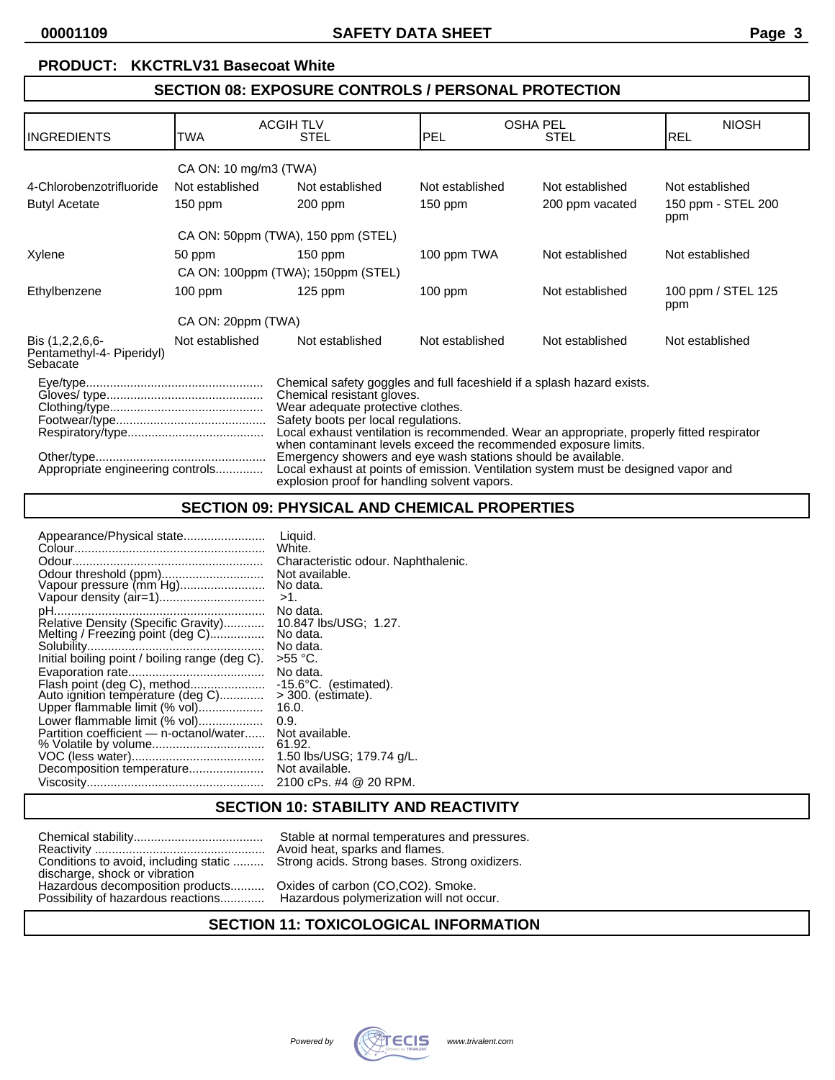# **SECTION 08: EXPOSURE CONTROLS / PERSONAL PROTECTION**

|                                                          |                       | <b>ACGIH TLV</b>                                                                                                                                                                                                                                                                                                                                                                                                                                                                                                                                       |                 | <b>OSHA PEL</b> | <b>NIOSH</b>              |
|----------------------------------------------------------|-----------------------|--------------------------------------------------------------------------------------------------------------------------------------------------------------------------------------------------------------------------------------------------------------------------------------------------------------------------------------------------------------------------------------------------------------------------------------------------------------------------------------------------------------------------------------------------------|-----------------|-----------------|---------------------------|
| <b>INGREDIENTS</b>                                       | TWA                   | <b>STEL</b>                                                                                                                                                                                                                                                                                                                                                                                                                                                                                                                                            | PEL             | <b>STEL</b>     | <b>REL</b>                |
|                                                          | CA ON: 10 mg/m3 (TWA) |                                                                                                                                                                                                                                                                                                                                                                                                                                                                                                                                                        |                 |                 |                           |
| 4-Chlorobenzotrifluoride                                 | Not established       | Not established                                                                                                                                                                                                                                                                                                                                                                                                                                                                                                                                        | Not established | Not established | Not established           |
| <b>Butyl Acetate</b>                                     | $150$ ppm             | $200$ ppm                                                                                                                                                                                                                                                                                                                                                                                                                                                                                                                                              | $150$ ppm       | 200 ppm vacated | 150 ppm - STEL 200<br>ppm |
|                                                          |                       | CA ON: 50ppm (TWA), 150 ppm (STEL)                                                                                                                                                                                                                                                                                                                                                                                                                                                                                                                     |                 |                 |                           |
| Xylene                                                   | 50 ppm                | $150$ ppm                                                                                                                                                                                                                                                                                                                                                                                                                                                                                                                                              | 100 ppm TWA     | Not established | Not established           |
| CA ON: 100ppm (TWA); 150ppm (STEL)                       |                       |                                                                                                                                                                                                                                                                                                                                                                                                                                                                                                                                                        |                 |                 |                           |
| Ethylbenzene                                             | $100$ ppm             | $125$ ppm                                                                                                                                                                                                                                                                                                                                                                                                                                                                                                                                              | $100$ ppm       | Not established | 100 ppm / STEL 125<br>ppm |
|                                                          | CA ON: 20ppm (TWA)    |                                                                                                                                                                                                                                                                                                                                                                                                                                                                                                                                                        |                 |                 |                           |
| Bis (1,2,2,6,6-<br>Pentamethyl-4- Piperidyl)<br>Sebacate | Not established       | Not established                                                                                                                                                                                                                                                                                                                                                                                                                                                                                                                                        | Not established | Not established | Not established           |
| Appropriate engineering controls                         |                       | Chemical safety goggles and full faceshield if a splash hazard exists.<br>Chemical resistant gloves.<br>Wear adequate protective clothes.<br>Safety boots per local regulations.<br>Local exhaust ventilation is recommended. Wear an appropriate, properly fitted respirator<br>when contaminant levels exceed the recommended exposure limits.<br>Emergency showers and eye wash stations should be available.<br>Local exhaust at points of emission. Ventilation system must be designed vapor and<br>explosion proof for handling solvent vapors. |                 |                 |                           |

# **SECTION 09: PHYSICAL AND CHEMICAL PROPERTIES**

| Appearance/Physical state                                                                                                                                                                                                                                    | Liquid.                                                                                                                                                                                                                                           |
|--------------------------------------------------------------------------------------------------------------------------------------------------------------------------------------------------------------------------------------------------------------|---------------------------------------------------------------------------------------------------------------------------------------------------------------------------------------------------------------------------------------------------|
|                                                                                                                                                                                                                                                              | White.                                                                                                                                                                                                                                            |
|                                                                                                                                                                                                                                                              | Characteristic odour. Naphthalenic.                                                                                                                                                                                                               |
| Odour threshold (ppm)                                                                                                                                                                                                                                        | Not available.                                                                                                                                                                                                                                    |
| Vapour pressure (mm Hg)                                                                                                                                                                                                                                      | No data.                                                                                                                                                                                                                                          |
| Initial boiling point / boiling range (deg C).<br>Flash point (deg C), method<br>Auto ignition temperature (deg C)<br>Upper flammable limit (% vol)<br>Lower flammable limit (% vol)<br>Partition coefficient — n-octanol/water<br>Decomposition temperature | $>1$ .<br>No data.<br>10.847 lbs/USG; 1.27.<br>No data.<br>No data.<br>>55 °C.<br>No data.<br>$-15.6^{\circ}$ C. (estimated).<br>$>$ 300. (estimate).<br>16.0.<br>0.9.<br>Not available.<br>61.92.<br>1.50 lbs/USG; 179.74 g/L.<br>Not available. |
|                                                                                                                                                                                                                                                              | 2100 cPs. #4 @ 20 RPM.                                                                                                                                                                                                                            |

#### **SECTION 10: STABILITY AND REACTIVITY**

|                                                                        | Stable at normal temperatures and press    |
|------------------------------------------------------------------------|--------------------------------------------|
|                                                                        | Avoid heat, sparks and flames.             |
| Conditions to avoid, including static<br>discharge, shock or vibration | Strong acids. Strong bases. Strong oxidize |
| Hazardous decomposition products                                       | Oxides of carbon (CO,CO2). Smoke.          |
| Possibility of hazardous reactions                                     | Hazardous polymerization will not occur.   |

mal temperatures and pressures. parks and flames. Strong bases. Strong oxidizers.

# **SECTION 11: TOXICOLOGICAL INFORMATION**

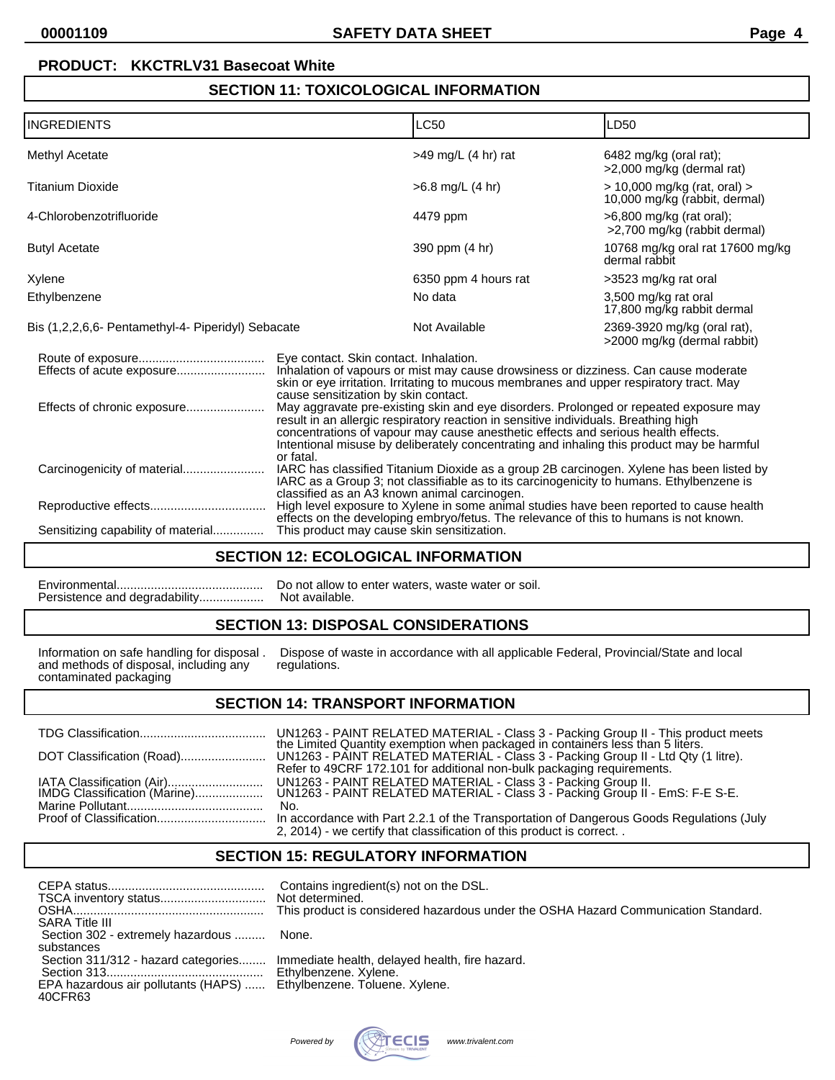## **SECTION 11: TOXICOLOGICAL INFORMATION**

| <b>INGREDIENTS</b>                                 |                                                                                                                                                                                                                                                                                                                                                                             | <b>LC50</b>                                                                                                                                                                      | LD50                                                          |  |
|----------------------------------------------------|-----------------------------------------------------------------------------------------------------------------------------------------------------------------------------------------------------------------------------------------------------------------------------------------------------------------------------------------------------------------------------|----------------------------------------------------------------------------------------------------------------------------------------------------------------------------------|---------------------------------------------------------------|--|
| Methyl Acetate                                     |                                                                                                                                                                                                                                                                                                                                                                             | $>49$ mg/L (4 hr) rat                                                                                                                                                            | 6482 mg/kg (oral rat);<br>>2,000 mg/kg (dermal rat)           |  |
| <b>Titanium Dioxide</b>                            |                                                                                                                                                                                                                                                                                                                                                                             | $>6.8$ mg/L $(4 \text{ hr})$                                                                                                                                                     | > 10,000 mg/kg (rat, oral) ><br>10,000 mg/kg (rabbit, dermal) |  |
| 4-Chlorobenzotrifluoride                           |                                                                                                                                                                                                                                                                                                                                                                             | 4479 ppm                                                                                                                                                                         | >6,800 mg/kg (rat oral);<br>>2,700 mg/kg (rabbit dermal)      |  |
| <b>Butyl Acetate</b>                               |                                                                                                                                                                                                                                                                                                                                                                             | 390 ppm (4 hr)                                                                                                                                                                   | 10768 mg/kg oral rat 17600 mg/kg<br>dermal rabbit             |  |
| Xylene                                             |                                                                                                                                                                                                                                                                                                                                                                             | 6350 ppm 4 hours rat                                                                                                                                                             | >3523 mg/kg rat oral                                          |  |
| Ethylbenzene                                       |                                                                                                                                                                                                                                                                                                                                                                             | No data                                                                                                                                                                          | 3,500 mg/kg rat oral<br>17,800 mg/kg rabbit dermal            |  |
| Bis (1,2,2,6,6- Pentamethyl-4- Piperidyl) Sebacate |                                                                                                                                                                                                                                                                                                                                                                             | Not Available                                                                                                                                                                    | 2369-3920 mg/kg (oral rat),<br>>2000 mg/kg (dermal rabbit)    |  |
|                                                    | Eye contact. Skin contact. Inhalation.<br>Inhalation of vapours or mist may cause drowsiness or dizziness. Can cause moderate<br>skin or eye irritation. Irritating to mucous membranes and upper respiratory tract. May<br>cause sensitization by skin contact.                                                                                                            |                                                                                                                                                                                  |                                                               |  |
| Effects of chronic exposure                        | May aggravate pre-existing skin and eye disorders. Prolonged or repeated exposure may<br>result in an allergic respiratory reaction in sensitive individuals. Breathing high<br>concentrations of vapour may cause anesthetic effects and serious health effects.<br>Intentional misuse by deliberately concentrating and inhaling this product may be harmful<br>or fatal. |                                                                                                                                                                                  |                                                               |  |
|                                                    | IARC has classified Titanium Dioxide as a group 2B carcinogen. Xylene has been listed by<br>IARC as a Group 3; not classifiable as to its carcinogenicity to humans. Ethylbenzene is<br>classified as an A3 known animal carcinogen.                                                                                                                                        |                                                                                                                                                                                  |                                                               |  |
|                                                    |                                                                                                                                                                                                                                                                                                                                                                             | High level exposure to Xylene in some animal studies have been reported to cause health<br>effects on the developing embryo/fetus. The relevance of this to humans is not known. |                                                               |  |
| Sensitizing capability of material                 | This product may cause skin sensitization.                                                                                                                                                                                                                                                                                                                                  |                                                                                                                                                                                  |                                                               |  |

# **SECTION 12: ECOLOGICAL INFORMATION**

Environmental........................................... Do not allow to enter waters, waste water or soil. Persistence and degradability...................

# **SECTION 13: DISPOSAL CONSIDERATIONS**

and methods of disposal, including any contaminated packaging

Information on safe handling for disposal . Dispose of waste in accordance with all applicable Federal, Provincial/State and local

#### **SECTION 14: TRANSPORT INFORMATION**

|                                                           | UN1263 - PAINT RELATED MATERIAL - Class 3 - Packing Group II - This product meets the Limited Quantity exemption when packaged in containers less than 5 liters. |
|-----------------------------------------------------------|------------------------------------------------------------------------------------------------------------------------------------------------------------------|
|                                                           | Refer to 49CRF 172.101 for additional non-bulk packaging requirements.                                                                                           |
| IATA Classification (Air)<br>IMDG Classification (Marine) | UN1263 - PAINT RELATED MATERIAL - Class 3 - Packing Group II.<br>UN1263 - PAINT RELATED MATERIAL - Class 3 - Packing Group II - EmS: F-E S-E.                    |
|                                                           | No.                                                                                                                                                              |
|                                                           | 2, 2014) - we certify that classification of this product is correct. .                                                                                          |

# **SECTION 15: REGULATORY INFORMATION**

|  | <b>SARA Title III</b><br>Section 302 - extremely hazardous<br>substances<br>Section 311/312 - hazard categories<br>EPA hazardous air pollutants (HAPS)  Ethylbenzene. Toluene. Xylene.<br>40CFR63 | Contains ingredient(s) not on the DSL.<br>Not determined.<br>This product is considered hazardous under the OSHA Hazard Communication Standard.<br>None.<br>Immediate health, delayed health, fire hazard.<br>Ethylbenzene. Xylene. |
|--|---------------------------------------------------------------------------------------------------------------------------------------------------------------------------------------------------|-------------------------------------------------------------------------------------------------------------------------------------------------------------------------------------------------------------------------------------|
|--|---------------------------------------------------------------------------------------------------------------------------------------------------------------------------------------------------|-------------------------------------------------------------------------------------------------------------------------------------------------------------------------------------------------------------------------------------|